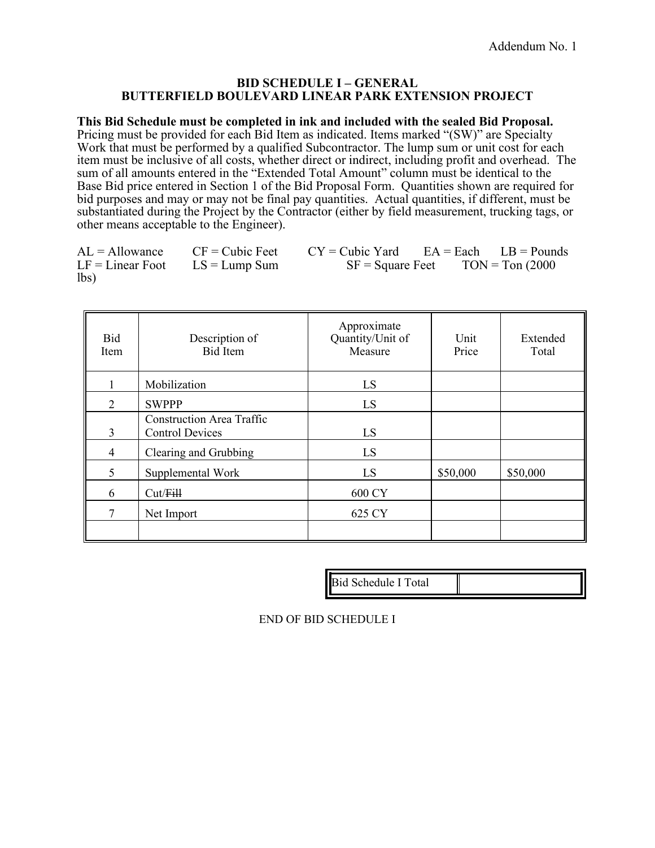#### **BID SCHEDULE I – GENERAL BUTTERFIELD BOULEVARD LINEAR PARK EXTENSION PROJECT**

**This Bid Schedule must be completed in ink and included with the sealed Bid Proposal.**  Pricing must be provided for each Bid Item as indicated. Items marked "(SW)" are Specialty Work that must be performed by a qualified Subcontractor. The lump sum or unit cost for each item must be inclusive of all costs, whether direct or indirect, including profit and overhead. The sum of all amounts entered in the "Extended Total Amount" column must be identical to the Base Bid price entered in Section 1 of the Bid Proposal Form. Quantities shown are required for bid purposes and may or may not be final pay quantities. Actual quantities, if different, must be substantiated during the Project by the Contractor (either by field measurement, trucking tags, or other means acceptable to the Engineer).

|      |                                    | $AL = Allowane$ CF = Cubic Feet CY = Cubic Yard EA = Each LB = Pounds |                                      |  |
|------|------------------------------------|-----------------------------------------------------------------------|--------------------------------------|--|
|      | $LF = Linear Foot$ $LS = Lump Sum$ |                                                                       | $SF = Square$ Feet $TON = Ton (2000$ |  |
| lbs) |                                    |                                                                       |                                      |  |

| Bid<br>Item    | Description of<br><b>Bid Item</b>                          | Approximate<br>Quantity/Unit of<br>Measure | Unit<br>Price | Extended<br>Total |
|----------------|------------------------------------------------------------|--------------------------------------------|---------------|-------------------|
|                | Mobilization                                               | LS                                         |               |                   |
| 2              | <b>SWPPP</b>                                               | LS                                         |               |                   |
| 3              | <b>Construction Area Traffic</b><br><b>Control Devices</b> | LS                                         |               |                   |
| $\overline{4}$ | Clearing and Grubbing                                      | LS                                         |               |                   |
| 5              | Supplemental Work                                          | LS                                         | \$50,000      | \$50,000          |
| 6              | Cut/Fill                                                   | 600 CY                                     |               |                   |
| 7              | Net Import                                                 | 625 CY                                     |               |                   |
|                |                                                            |                                            |               |                   |

Bid Schedule I Total

END OF BID SCHEDULE I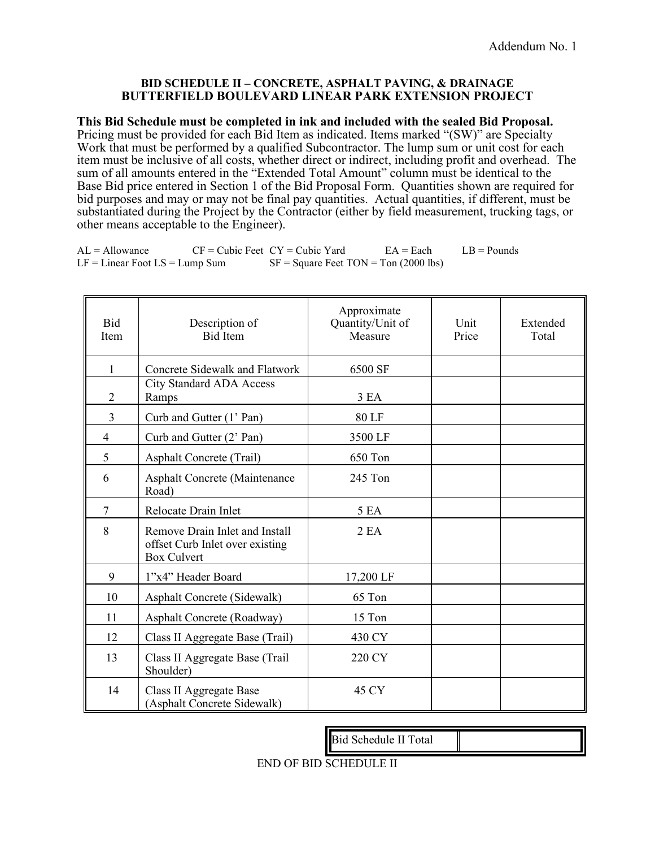#### **BID SCHEDULE II – CONCRETE, ASPHALT PAVING, & DRAINAGE BUTTERFIELD BOULEVARD LINEAR PARK EXTENSION PROJECT**

**This Bid Schedule must be completed in ink and included with the sealed Bid Proposal.**  Pricing must be provided for each Bid Item as indicated. Items marked "(SW)" are Specialty Work that must be performed by a qualified Subcontractor. The lump sum or unit cost for each item must be inclusive of all costs, whether direct or indirect, including profit and overhead. The sum of all amounts entered in the "Extended Total Amount" column must be identical to the Base Bid price entered in Section 1 of the Bid Proposal Form. Quantities shown are required for bid purposes and may or may not be final pay quantities. Actual quantities, if different, must be substantiated during the Project by the Contractor (either by field measurement, trucking tags, or other means acceptable to the Engineer).

| <b>Bid</b><br>Item | Description of<br><b>Bid Item</b>                                                       | Approximate<br>Quantity/Unit of<br>Measure | Unit<br>Price | Extended<br>Total |
|--------------------|-----------------------------------------------------------------------------------------|--------------------------------------------|---------------|-------------------|
| $\mathbf{1}$       | <b>Concrete Sidewalk and Flatwork</b>                                                   | 6500 SF                                    |               |                   |
| $\overline{2}$     | <b>City Standard ADA Access</b><br>Ramps                                                | 3 EA                                       |               |                   |
| $\overline{3}$     | Curb and Gutter (1' Pan)                                                                | 80 LF                                      |               |                   |
| $\overline{4}$     | Curb and Gutter (2' Pan)                                                                | 3500 LF                                    |               |                   |
| 5                  | Asphalt Concrete (Trail)                                                                | 650 Ton                                    |               |                   |
| 6                  | Asphalt Concrete (Maintenance<br>Road)                                                  | 245 Ton                                    |               |                   |
| $\overline{7}$     | Relocate Drain Inlet                                                                    | 5 EA                                       |               |                   |
| 8                  | Remove Drain Inlet and Install<br>offset Curb Inlet over existing<br><b>Box Culvert</b> | 2EA                                        |               |                   |
| 9                  | 1"x4" Header Board                                                                      | 17,200 LF                                  |               |                   |
| 10                 | Asphalt Concrete (Sidewalk)                                                             | 65 Ton                                     |               |                   |
| 11                 | Asphalt Concrete (Roadway)                                                              | 15 Ton                                     |               |                   |
| 12                 | Class II Aggregate Base (Trail)                                                         | 430 CY                                     |               |                   |
| 13                 | Class II Aggregate Base (Trail<br>Shoulder)                                             | 220 CY                                     |               |                   |
| 14                 | Class II Aggregate Base<br>(Asphalt Concrete Sidewalk)                                  | 45 CY                                      |               |                   |

AL = Allowance CF = Cubic Feet CY = Cubic Yard EA = Each LB = Pounds  $LF = Linear Foot LS = Lump Sum$   $SF = Square \text{ feet} \text{ } TON = Ton \text{ } (2000 \text{ } lbs)$ 

END OF BID SCHEDULE II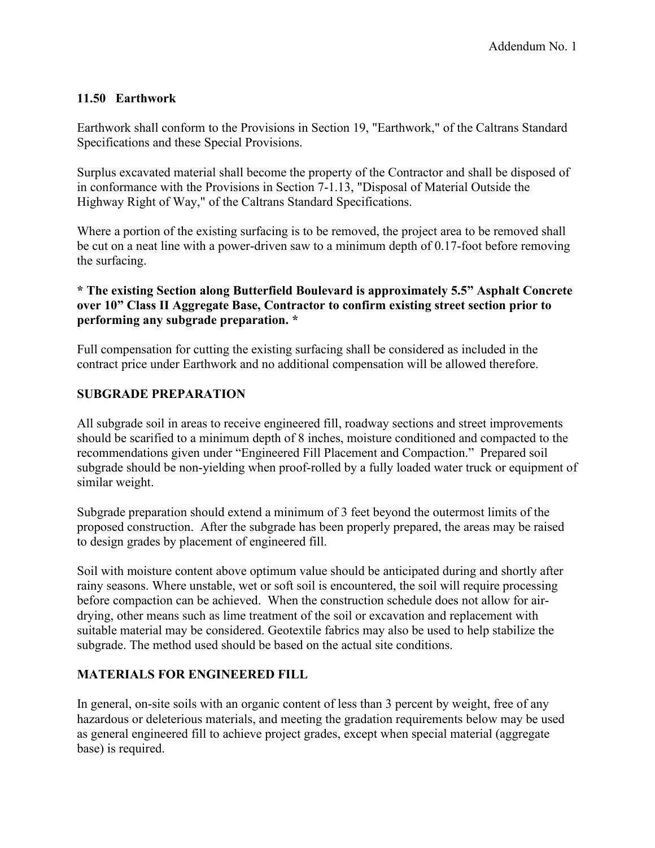# **11.50 Earthwork**

Earthwork shall conform to the Provisions in Section 19, "Earthwork," of the Caltrans Standard Specifications and these Special Provisions.

Surplus excavated material shall become the property of the Contractor and shall be disposed of in conformance with the Provisions in Section 7-1.13, "Disposal of Material Outside the Highway Right of Way," of the Caltrans Standard Specifications.

Where a portion of the existing surfacing is to be removed, the project area to be removed shall be cut on a neat line with a power-driven saw to a minimum depth of 0.17-foot before removing the surfacing.

# **\* The existing Section along Butterfield Boulevard is approximately 5.5" Asphalt Concrete over 10" Class II Aggregate Base, Contractor to confirm existing street section prior to performing any subgrade preparation. \***

Full compensation for cutting the existing surfacing shall be considered as included in the contract price under Earthwork and no additional compensation will be allowed therefore.

# **SUBGRADE PREPARATION**

All subgrade soil in areas to receive engineered fill, roadway sections and street improvements should be scarified to a minimum depth of 8 inches, moisture conditioned and compacted to the recommendations given under "Engineered Fill Placement and Compaction." Prepared soil subgrade should be non-yielding when proof-rolled by a fully loaded water truck or equipment of similar weight.

Subgrade preparation should extend a minimum of 3 feet beyond the outermost limits of the proposed construction. After the subgrade has been properly prepared, the areas may be raised to design grades by placement of engineered fill.

Soil with moisture content above optimum value should be anticipated during and shortly after rainy seasons. Where unstable, wet or soft soil is encountered, the soil will require processing before compaction can be achieved. When the construction schedule does not allow for airdrying, other means such as lime treatment of the soil or excavation and replacement with suitable material may be considered. Geotextile fabrics may also be used to help stabilize the subgrade. The method used should be based on the actual site conditions.

# **MATERIALS FOR ENGINEERED FILL**

In general, on-site soils with an organic content of less than 3 percent by weight, free of any hazardous or deleterious materials, and meeting the gradation requirements below may be used as general engineered fill to achieve project grades, except when special material (aggregate base) is required.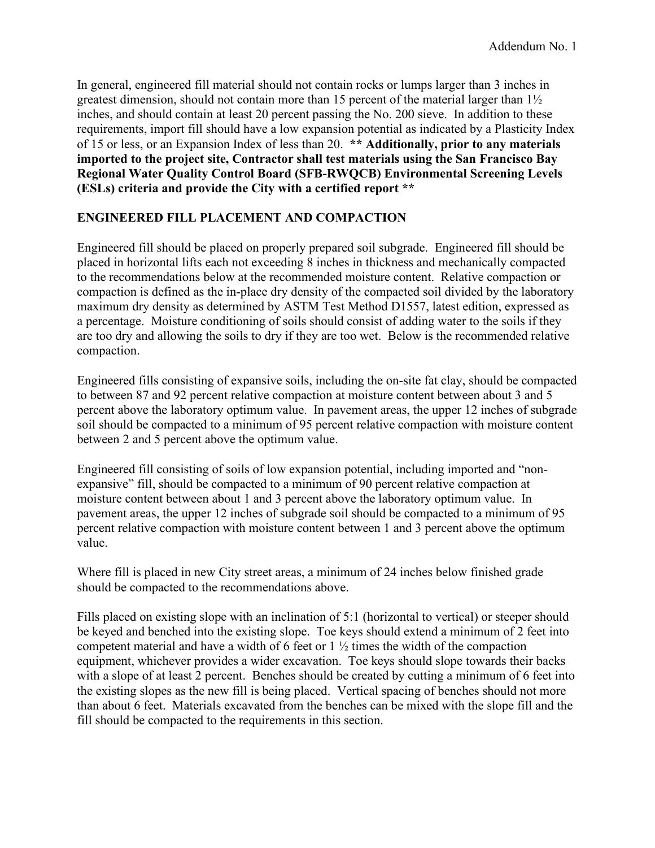In general, engineered fill material should not contain rocks or lumps larger than 3 inches in greatest dimension, should not contain more than 15 percent of the material larger than 1½ inches, and should contain at least 20 percent passing the No. 200 sieve. In addition to these requirements, import fill should have a low expansion potential as indicated by a Plasticity Index of 15 or less, or an Expansion Index of less than 20. **\*\* Additionally, prior to any materials imported to the project site, Contractor shall test materials using the San Francisco Bay Regional Water Quality Control Board (SFB-RWQCB) Environmental Screening Levels (ESLs) criteria and provide the City with a certified report \*\***

## **ENGINEERED FILL PLACEMENT AND COMPACTION**

Engineered fill should be placed on properly prepared soil subgrade. Engineered fill should be placed in horizontal lifts each not exceeding 8 inches in thickness and mechanically compacted to the recommendations below at the recommended moisture content. Relative compaction or compaction is defined as the in-place dry density of the compacted soil divided by the laboratory maximum dry density as determined by ASTM Test Method D1557, latest edition, expressed as a percentage. Moisture conditioning of soils should consist of adding water to the soils if they are too dry and allowing the soils to dry if they are too wet. Below is the recommended relative compaction.

Engineered fills consisting of expansive soils, including the on-site fat clay, should be compacted to between 87 and 92 percent relative compaction at moisture content between about 3 and 5 percent above the laboratory optimum value. In pavement areas, the upper 12 inches of subgrade soil should be compacted to a minimum of 95 percent relative compaction with moisture content between 2 and 5 percent above the optimum value.

Engineered fill consisting of soils of low expansion potential, including imported and "nonexpansive" fill, should be compacted to a minimum of 90 percent relative compaction at moisture content between about 1 and 3 percent above the laboratory optimum value. In pavement areas, the upper 12 inches of subgrade soil should be compacted to a minimum of 95 percent relative compaction with moisture content between 1 and 3 percent above the optimum value.

Where fill is placed in new City street areas, a minimum of 24 inches below finished grade should be compacted to the recommendations above.

Fills placed on existing slope with an inclination of 5:1 (horizontal to vertical) or steeper should be keyed and benched into the existing slope. Toe keys should extend a minimum of 2 feet into competent material and have a width of 6 feet or 1 ½ times the width of the compaction equipment, whichever provides a wider excavation. Toe keys should slope towards their backs with a slope of at least 2 percent. Benches should be created by cutting a minimum of 6 feet into the existing slopes as the new fill is being placed. Vertical spacing of benches should not more than about 6 feet. Materials excavated from the benches can be mixed with the slope fill and the fill should be compacted to the requirements in this section.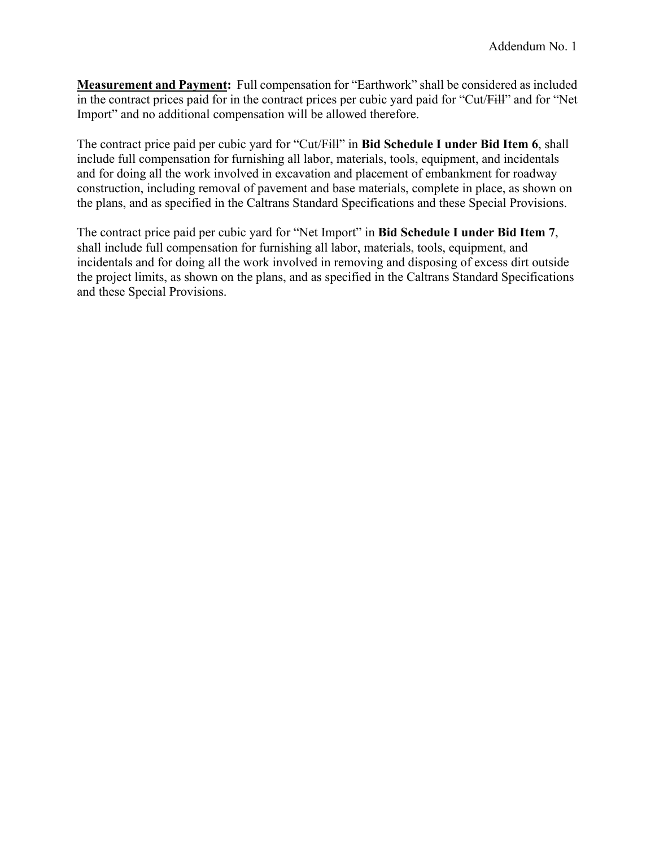**Measurement and Payment:** Full compensation for "Earthwork" shall be considered as included in the contract prices paid for in the contract prices per cubic yard paid for "Cut/Fill" and for "Net Import" and no additional compensation will be allowed therefore.

The contract price paid per cubic yard for "Cut/Fill" in **Bid Schedule I under Bid Item 6**, shall include full compensation for furnishing all labor, materials, tools, equipment, and incidentals and for doing all the work involved in excavation and placement of embankment for roadway construction, including removal of pavement and base materials, complete in place, as shown on the plans, and as specified in the Caltrans Standard Specifications and these Special Provisions.

The contract price paid per cubic yard for "Net Import" in **Bid Schedule I under Bid Item 7**, shall include full compensation for furnishing all labor, materials, tools, equipment, and incidentals and for doing all the work involved in removing and disposing of excess dirt outside the project limits, as shown on the plans, and as specified in the Caltrans Standard Specifications and these Special Provisions.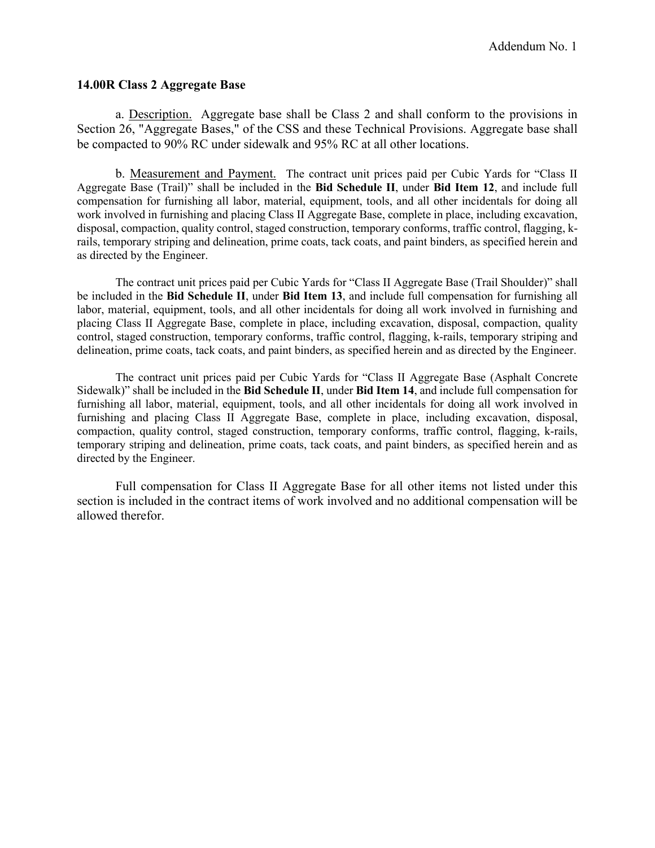### **14.00R Class 2 Aggregate Base**

a. Description. Aggregate base shall be Class 2 and shall conform to the provisions in Section 26, "Aggregate Bases," of the CSS and these Technical Provisions. Aggregate base shall be compacted to 90% RC under sidewalk and 95% RC at all other locations.

b. Measurement and Payment. The contract unit prices paid per Cubic Yards for "Class II Aggregate Base (Trail)" shall be included in the **Bid Schedule II**, under **Bid Item 12**, and include full compensation for furnishing all labor, material, equipment, tools, and all other incidentals for doing all work involved in furnishing and placing Class II Aggregate Base, complete in place, including excavation, disposal, compaction, quality control, staged construction, temporary conforms, traffic control, flagging, krails, temporary striping and delineation, prime coats, tack coats, and paint binders, as specified herein and as directed by the Engineer.

The contract unit prices paid per Cubic Yards for "Class II Aggregate Base (Trail Shoulder)" shall be included in the **Bid Schedule II**, under **Bid Item 13**, and include full compensation for furnishing all labor, material, equipment, tools, and all other incidentals for doing all work involved in furnishing and placing Class II Aggregate Base, complete in place, including excavation, disposal, compaction, quality control, staged construction, temporary conforms, traffic control, flagging, k-rails, temporary striping and delineation, prime coats, tack coats, and paint binders, as specified herein and as directed by the Engineer.

The contract unit prices paid per Cubic Yards for "Class II Aggregate Base (Asphalt Concrete Sidewalk)" shall be included in the **Bid Schedule II**, under **Bid Item 14**, and include full compensation for furnishing all labor, material, equipment, tools, and all other incidentals for doing all work involved in furnishing and placing Class II Aggregate Base, complete in place, including excavation, disposal, compaction, quality control, staged construction, temporary conforms, traffic control, flagging, k-rails, temporary striping and delineation, prime coats, tack coats, and paint binders, as specified herein and as directed by the Engineer.

Full compensation for Class II Aggregate Base for all other items not listed under this section is included in the contract items of work involved and no additional compensation will be allowed therefor.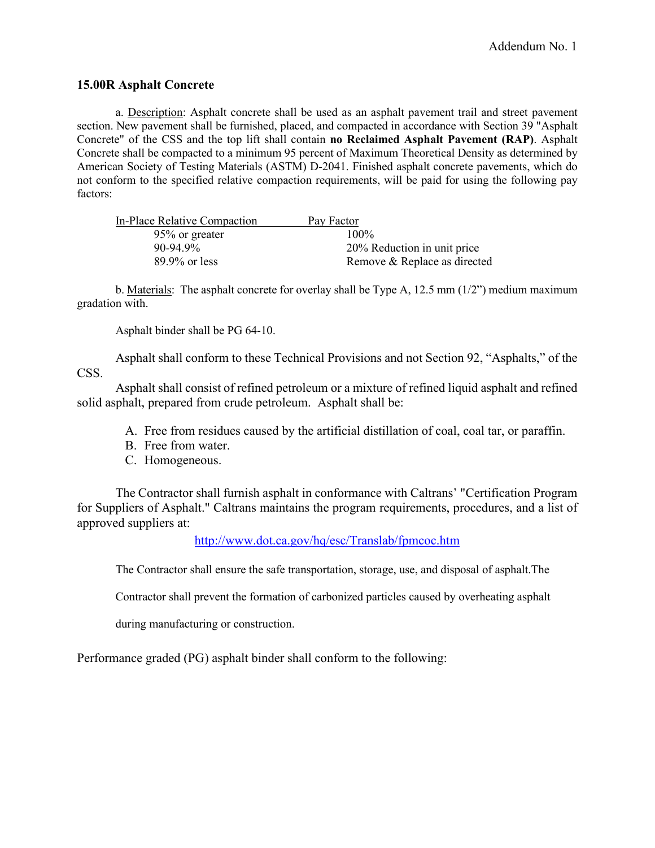### **15.00R Asphalt Concrete**

a. Description: Asphalt concrete shall be used as an asphalt pavement trail and street pavement section. New pavement shall be furnished, placed, and compacted in accordance with Section 39 "Asphalt Concrete" of the CSS and the top lift shall contain **no Reclaimed Asphalt Pavement (RAP)**. Asphalt Concrete shall be compacted to a minimum 95 percent of Maximum Theoretical Density as determined by American Society of Testing Materials (ASTM) D-2041. Finished asphalt concrete pavements, which do not conform to the specified relative compaction requirements, will be paid for using the following pay factors:

| In-Place Relative Compaction | Pay Factor                   |
|------------------------------|------------------------------|
| 95% or greater               | $100\%$                      |
| $90-94.9\%$                  | 20% Reduction in unit price  |
| $89.9\%$ or less             | Remove & Replace as directed |

b. Materials: The asphalt concrete for overlay shall be Type A, 12.5 mm  $(1/2)$  medium maximum gradation with.

Asphalt binder shall be PG 64-10.

Asphalt shall conform to these Technical Provisions and not Section 92, "Asphalts," of the CSS.

Asphalt shall consist of refined petroleum or a mixture of refined liquid asphalt and refined solid asphalt, prepared from crude petroleum. Asphalt shall be:

- A. Free from residues caused by the artificial distillation of coal, coal tar, or paraffin.
- B. Free from water.
- C. Homogeneous.

The Contractor shall furnish asphalt in conformance with Caltrans' "Certification Program for Suppliers of Asphalt." Caltrans maintains the program requirements, procedures, and a list of approved suppliers at:

<http://www.dot.ca.gov/hq/esc/Translab/fpmcoc.htm>

The Contractor shall ensure the safe transportation, storage, use, and disposal of asphalt.The

Contractor shall prevent the formation of carbonized particles caused by overheating asphalt

during manufacturing or construction.

Performance graded (PG) asphalt binder shall conform to the following: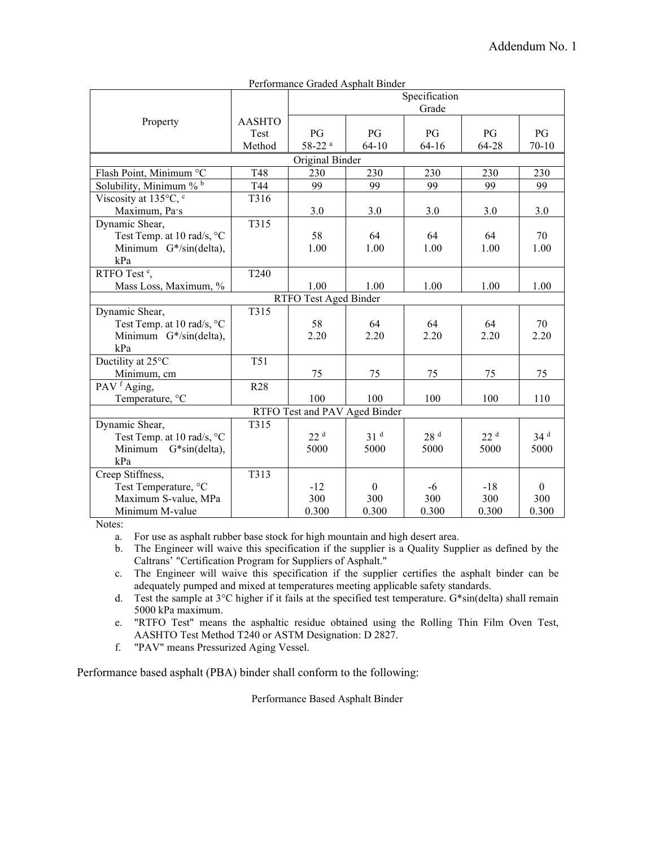|                               | I criorinance oraged <i>risphan</i> Dinael<br>Specification |                       |                 |                 |                 |                 |
|-------------------------------|-------------------------------------------------------------|-----------------------|-----------------|-----------------|-----------------|-----------------|
|                               |                                                             |                       |                 | Grade           |                 |                 |
| Property                      | <b>AASHTO</b>                                               |                       |                 |                 |                 |                 |
|                               | <b>Test</b>                                                 | PG                    | PG              | PG              | PG              | PG              |
|                               | Method                                                      | $58-22$ <sup>a</sup>  | $64 - 10$       | $64 - 16$       | 64-28           | $70 - 10$       |
|                               |                                                             | Original Binder       |                 |                 |                 |                 |
| Flash Point, Minimum °C       | T48                                                         | 230                   | 230             | 230             | 230             | 230             |
| Solubility, Minimum % b       | T44                                                         | 99                    | 99              | 99              | 99              | 99              |
| Viscosity at 135°C, °         | T316                                                        |                       |                 |                 |                 |                 |
| Maximum, Pa·s                 |                                                             | 3.0                   | 3.0             | 3.0             | 3.0             | 3.0             |
| Dynamic Shear,                | T315                                                        |                       |                 |                 |                 |                 |
| Test Temp. at 10 rad/s, °C    |                                                             | 58                    | 64              | 64              | 64              | 70              |
| Minimum G*/sin(delta),        |                                                             | 1.00                  | 1.00            | 1.00            | 1.00            | 1.00            |
| kPa                           |                                                             |                       |                 |                 |                 |                 |
| RTFO Test <sup>e</sup> ,      | T240                                                        |                       |                 |                 |                 |                 |
| Mass Loss, Maximum, %         |                                                             | 1.00                  | 1.00            | 1.00            | 1.00            | 1.00            |
|                               |                                                             | RTFO Test Aged Binder |                 |                 |                 |                 |
| Dynamic Shear,                | T315                                                        |                       |                 |                 |                 |                 |
| Test Temp. at 10 rad/s, °C    |                                                             | 58                    | 64              | 64              | 64              | 70              |
| Minimum G*/sin(delta),        |                                                             | 2.20                  | 2.20            | 2.20            | 2.20            | 2.20            |
| kPa                           |                                                             |                       |                 |                 |                 |                 |
| Ductility at 25°C             | <b>T51</b>                                                  |                       |                 |                 |                 |                 |
| Minimum, cm                   |                                                             | 75                    | 75              | 75              | 75              | 75              |
| PAV <sup>f</sup> Aging,       | R28                                                         |                       |                 |                 |                 |                 |
| Temperature, °C               |                                                             | 100                   | 100             | 100             | 100             | 110             |
| RTFO Test and PAV Aged Binder |                                                             |                       |                 |                 |                 |                 |
| Dynamic Shear,                | T315                                                        |                       |                 |                 |                 |                 |
| Test Temp. at 10 rad/s, °C    |                                                             | 22 <sup>d</sup>       | 31 <sup>d</sup> | 28 <sup>d</sup> | 22 <sup>d</sup> | 34 <sup>d</sup> |
| Minimum G*sin(delta),         |                                                             | 5000                  | 5000            | 5000            | 5000            | 5000            |
| kPa                           |                                                             |                       |                 |                 |                 |                 |
| Creep Stiffness,              | T313                                                        |                       |                 |                 |                 |                 |
| Test Temperature, °C          |                                                             | $-12$                 | $\overline{0}$  | -6              | $-18$           | $\theta$        |
| Maximum S-value, MPa          |                                                             | 300                   | 300             | 300             | 300             | 300             |
| Minimum M-value               |                                                             | 0.300                 | 0.300           | 0.300           | 0.300           | 0.300           |

Performance Graded Asphalt Binder

Notes:

a. For use as asphalt rubber base stock for high mountain and high desert area.

b. The Engineer will waive this specification if the supplier is a Quality Supplier as defined by the Caltrans' "Certification Program for Suppliers of Asphalt."

c. The Engineer will waive this specification if the supplier certifies the asphalt binder can be adequately pumped and mixed at temperatures meeting applicable safety standards.

d. Test the sample at 3°C higher if it fails at the specified test temperature. G\*sin(delta) shall remain 5000 kPa maximum.

e. "RTFO Test" means the asphaltic residue obtained using the Rolling Thin Film Oven Test, AASHTO Test Method T240 or ASTM Designation: D 2827.

f. "PAV" means Pressurized Aging Vessel.

Performance based asphalt (PBA) binder shall conform to the following:

Performance Based Asphalt Binder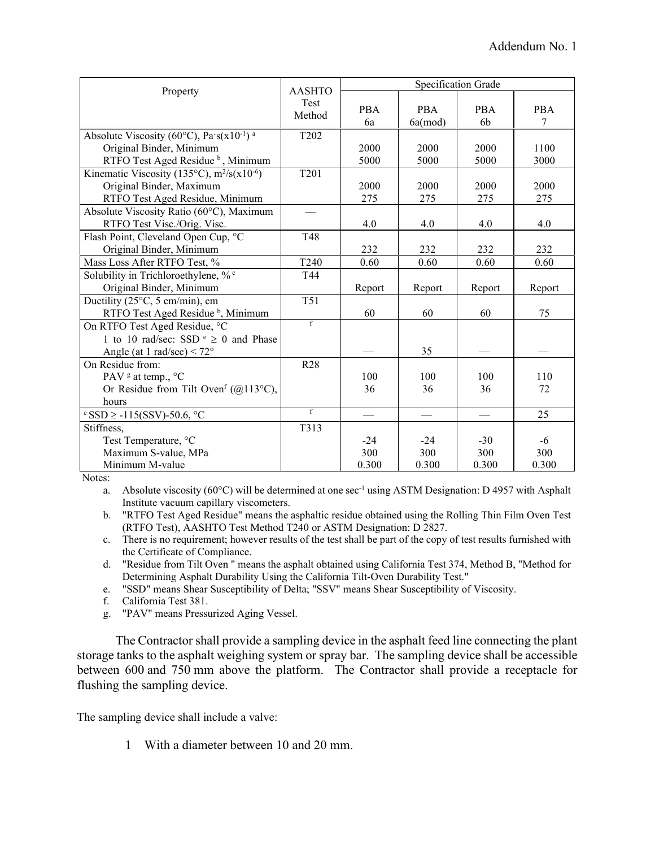|                                                                  | <b>AASHTO</b>    |                  | Specification Grade      |                              |                 |
|------------------------------------------------------------------|------------------|------------------|--------------------------|------------------------------|-----------------|
| Property                                                         | Test<br>Method   | <b>PBA</b><br>6a | <b>PBA</b><br>6a (mod)   | <b>PBA</b><br>6 <sub>b</sub> | <b>PBA</b><br>7 |
| Absolute Viscosity (60°C), Pa`s(x10 <sup>-1</sup> ) <sup>a</sup> | T <sub>202</sub> |                  |                          |                              |                 |
| Original Binder, Minimum                                         |                  | 2000             | 2000                     | 2000                         | 1100            |
| RTFO Test Aged Residue <sup>b</sup> , Minimum                    |                  | 5000             | 5000                     | 5000                         | 3000            |
| Kinematic Viscosity (135°C), $m^2/s(x10^{-6})$                   | T201             |                  |                          |                              |                 |
| Original Binder, Maximum                                         |                  | 2000             | 2000                     | 2000                         | 2000            |
| RTFO Test Aged Residue, Minimum                                  |                  | 275              | 275                      | 275                          | 275             |
| Absolute Viscosity Ratio (60°C), Maximum                         |                  |                  |                          |                              |                 |
| RTFO Test Visc./Orig. Visc.                                      |                  | 4.0              | 4.0                      | 4.0                          | 4.0             |
| Flash Point, Cleveland Open Cup, °C                              | T48              |                  |                          |                              |                 |
| Original Binder, Minimum                                         |                  | 232              | 232                      | 232                          | 232             |
| Mass Loss After RTFO Test, %                                     | T <sub>240</sub> | 0.60             | 0.60                     | 0.60                         | 0.60            |
| Solubility in Trichloroethylene, % °                             | T44              |                  |                          |                              |                 |
| Original Binder, Minimum                                         |                  | Report           | Report                   | Report                       | Report          |
| Ductility (25°C, 5 cm/min), cm                                   | <b>T51</b>       |                  |                          |                              |                 |
| RTFO Test Aged Residue <sup>b</sup> , Minimum                    |                  | 60               | 60                       | 60                           | 75              |
| On RTFO Test Aged Residue, °C                                    | $\mathbf{f}$     |                  |                          |                              |                 |
| 1 to 10 rad/sec: SSD $\epsilon \ge 0$ and Phase                  |                  |                  |                          |                              |                 |
| Angle (at 1 rad/sec) $< 72^{\circ}$                              |                  |                  | 35                       |                              |                 |
| On Residue from:                                                 | R <sub>28</sub>  |                  |                          |                              |                 |
| PAV <sup>g</sup> at temp., °C                                    |                  | 100              | 100                      | 100                          | 110             |
| Or Residue from Tilt Oven <sup>f</sup> (@113°C),                 |                  | 36               | 36                       | 36                           | 72              |
| hours                                                            |                  |                  |                          |                              |                 |
| $\text{°SSD} \geq -115$ (SSV)-50.6, $\text{°C}$                  | $\overline{f}$   |                  | $\overline{\phantom{0}}$ |                              | 25              |
| Stiffness,                                                       | T313             |                  |                          |                              |                 |
| Test Temperature, °C                                             |                  | $-24$            | $-24$                    | $-30$                        | $-6$            |
| Maximum S-value, MPa                                             |                  | 300              | 300                      | 300                          | 300             |
| Minimum M-value                                                  |                  | 0.300            | 0.300                    | 0.300                        | 0.300           |

Notes:

a. Absolute viscosity (60°C) will be determined at one sec<sup>-1</sup> using ASTM Designation: D 4957 with Asphalt Institute vacuum capillary viscometers.

b. "RTFO Test Aged Residue" means the asphaltic residue obtained using the Rolling Thin Film Oven Test (RTFO Test), AASHTO Test Method T240 or ASTM Designation: D 2827.

c. There is no requirement; however results of the test shall be part of the copy of test results furnished with the Certificate of Compliance.

d. "Residue from Tilt Oven " means the asphalt obtained using California Test 374, Method B, "Method for Determining Asphalt Durability Using the California Tilt-Oven Durability Test."

e. "SSD" means Shear Susceptibility of Delta; "SSV" means Shear Susceptibility of Viscosity.

f. California Test 381.

g. "PAV" means Pressurized Aging Vessel.

The Contractor shall provide a sampling device in the asphalt feed line connecting the plant storage tanks to the asphalt weighing system or spray bar. The sampling device shall be accessible between 600 and 750 mm above the platform. The Contractor shall provide a receptacle for flushing the sampling device.

The sampling device shall include a valve:

1 With a diameter between 10 and 20 mm.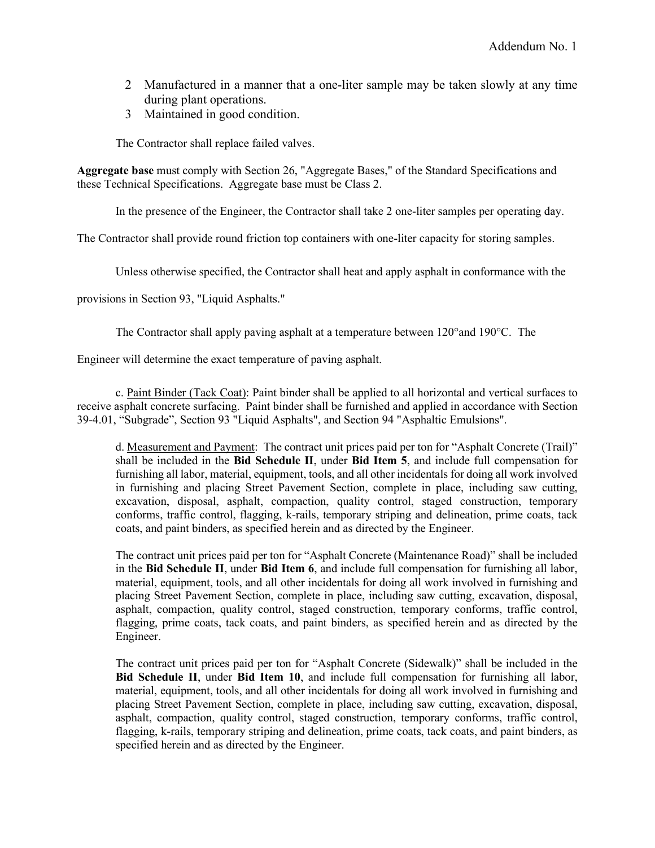- 2 Manufactured in a manner that a one-liter sample may be taken slowly at any time during plant operations.
- 3 Maintained in good condition.

The Contractor shall replace failed valves.

**Aggregate base** must comply with Section 26, "Aggregate Bases," of the Standard Specifications and these Technical Specifications. Aggregate base must be Class 2.

In the presence of the Engineer, the Contractor shall take 2 one-liter samples per operating day.

The Contractor shall provide round friction top containers with one-liter capacity for storing samples.

Unless otherwise specified, the Contractor shall heat and apply asphalt in conformance with the

provisions in Section 93, "Liquid Asphalts."

The Contractor shall apply paving asphalt at a temperature between 120°and 190°C. The

Engineer will determine the exact temperature of paving asphalt.

c. Paint Binder (Tack Coat): Paint binder shall be applied to all horizontal and vertical surfaces to receive asphalt concrete surfacing. Paint binder shall be furnished and applied in accordance with Section 39-4.01, "Subgrade", Section 93 "Liquid Asphalts", and Section 94 "Asphaltic Emulsions".

d. Measurement and Payment: The contract unit prices paid per ton for "Asphalt Concrete (Trail)" shall be included in the **Bid Schedule II**, under **Bid Item 5**, and include full compensation for furnishing all labor, material, equipment, tools, and all other incidentals for doing all work involved in furnishing and placing Street Pavement Section, complete in place, including saw cutting, excavation, disposal, asphalt, compaction, quality control, staged construction, temporary conforms, traffic control, flagging, k-rails, temporary striping and delineation, prime coats, tack coats, and paint binders, as specified herein and as directed by the Engineer.

The contract unit prices paid per ton for "Asphalt Concrete (Maintenance Road)" shall be included in the **Bid Schedule II**, under **Bid Item 6**, and include full compensation for furnishing all labor, material, equipment, tools, and all other incidentals for doing all work involved in furnishing and placing Street Pavement Section, complete in place, including saw cutting, excavation, disposal, asphalt, compaction, quality control, staged construction, temporary conforms, traffic control, flagging, prime coats, tack coats, and paint binders, as specified herein and as directed by the Engineer.

The contract unit prices paid per ton for "Asphalt Concrete (Sidewalk)" shall be included in the **Bid Schedule II**, under **Bid Item 10**, and include full compensation for furnishing all labor, material, equipment, tools, and all other incidentals for doing all work involved in furnishing and placing Street Pavement Section, complete in place, including saw cutting, excavation, disposal, asphalt, compaction, quality control, staged construction, temporary conforms, traffic control, flagging, k-rails, temporary striping and delineation, prime coats, tack coats, and paint binders, as specified herein and as directed by the Engineer.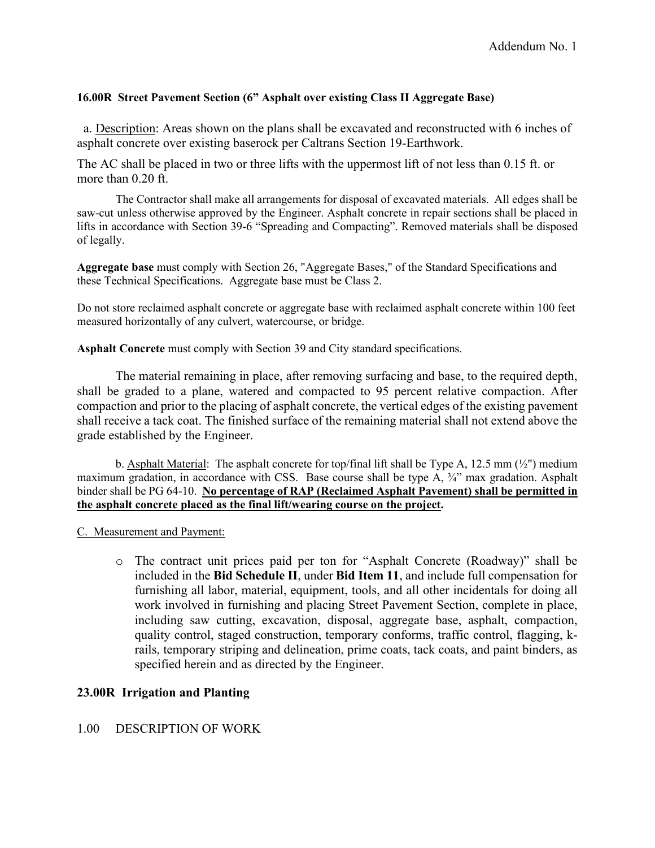### **16.00R Street Pavement Section (6" Asphalt over existing Class II Aggregate Base)**

a. Description: Areas shown on the plans shall be excavated and reconstructed with 6 inches of asphalt concrete over existing baserock per Caltrans Section 19-Earthwork.

The AC shall be placed in two or three lifts with the uppermost lift of not less than 0.15 ft. or more than 0.20 ft.

The Contractor shall make all arrangements for disposal of excavated materials. All edges shall be saw-cut unless otherwise approved by the Engineer. Asphalt concrete in repair sections shall be placed in lifts in accordance with Section 39-6 "Spreading and Compacting". Removed materials shall be disposed of legally.

**Aggregate base** must comply with Section 26, "Aggregate Bases," of the Standard Specifications and these Technical Specifications. Aggregate base must be Class 2.

Do not store reclaimed asphalt concrete or aggregate base with reclaimed asphalt concrete within 100 feet measured horizontally of any culvert, watercourse, or bridge.

**Asphalt Concrete** must comply with Section 39 and City standard specifications.

The material remaining in place, after removing surfacing and base, to the required depth, shall be graded to a plane, watered and compacted to 95 percent relative compaction. After compaction and prior to the placing of asphalt concrete, the vertical edges of the existing pavement shall receive a tack coat. The finished surface of the remaining material shall not extend above the grade established by the Engineer.

b. Asphalt Material: The asphalt concrete for top/final lift shall be Type A, 12.5 mm  $\left(\frac{1}{2}\right)$  medium maximum gradation, in accordance with CSS. Base course shall be type A,  $\frac{3}{4}$ " max gradation. Asphalt binder shall be PG 64-10. **No percentage of RAP (Reclaimed Asphalt Pavement) shall be permitted in the asphalt concrete placed as the final lift/wearing course on the project.** 

C. Measurement and Payment:

o The contract unit prices paid per ton for "Asphalt Concrete (Roadway)" shall be included in the **Bid Schedule II**, under **Bid Item 11**, and include full compensation for furnishing all labor, material, equipment, tools, and all other incidentals for doing all work involved in furnishing and placing Street Pavement Section, complete in place, including saw cutting, excavation, disposal, aggregate base, asphalt, compaction, quality control, staged construction, temporary conforms, traffic control, flagging, krails, temporary striping and delineation, prime coats, tack coats, and paint binders, as specified herein and as directed by the Engineer.

### **23.00R Irrigation and Planting**

#### 1.00 DESCRIPTION OF WORK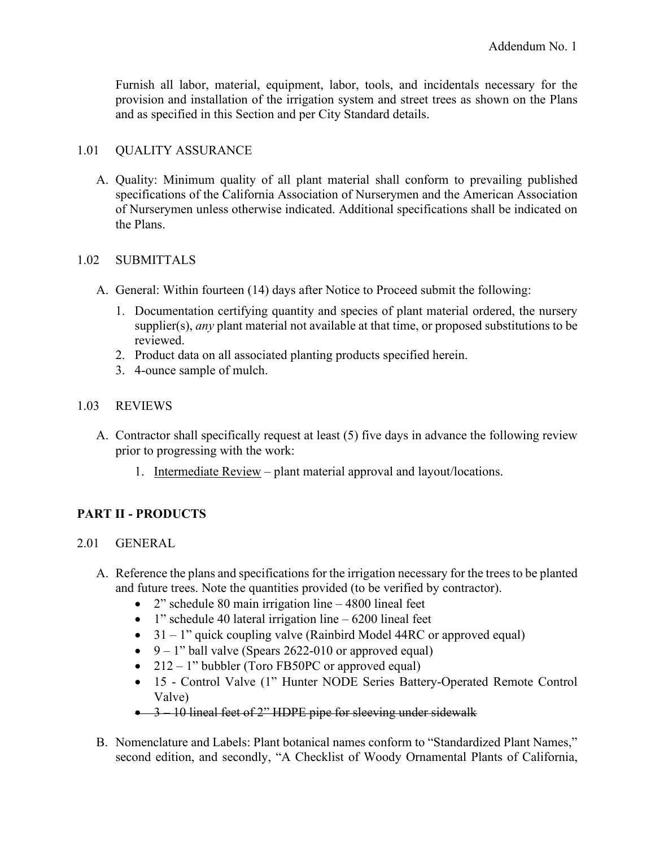Furnish all labor, material, equipment, labor, tools, and incidentals necessary for the provision and installation of the irrigation system and street trees as shown on the Plans and as specified in this Section and per City Standard details.

### 1.01 QUALITY ASSURANCE

A. Quality: Minimum quality of all plant material shall conform to prevailing published specifications of the California Association of Nurserymen and the American Association of Nurserymen unless otherwise indicated. Additional specifications shall be indicated on the Plans.

### 1.02 SUBMITTALS

- A. General: Within fourteen (14) days after Notice to Proceed submit the following:
	- 1. Documentation certifying quantity and species of plant material ordered, the nursery supplier(s), *any* plant material not available at that time, or proposed substitutions to be reviewed.
	- 2. Product data on all associated planting products specified herein.
	- 3. 4-ounce sample of mulch.

### 1.03 REVIEWS

- A. Contractor shall specifically request at least (5) five days in advance the following review prior to progressing with the work:
	- 1. Intermediate Review plant material approval and layout/locations.

# **PART II - PRODUCTS**

### 2.01 GENERAL

- A. Reference the plans and specifications for the irrigation necessary for the trees to be planted and future trees. Note the quantities provided (to be verified by contractor).
	- 2" schedule 80 main irrigation line 4800 lineal feet
	- 1" schedule 40 lateral irrigation line  $-6200$  lineal feet
	- $31 1$ " quick coupling valve (Rainbird Model 44RC or approved equal)
	- $9 1$ " ball valve (Spears 2622-010 or approved equal)
	- $212 1$ " bubbler (Toro FB50PC or approved equal)
	- 15 Control Valve (1" Hunter NODE Series Battery-Operated Remote Control Valve)

# • 3 – 10 lineal feet of 2" HDPE pipe for sleeving under sidewalk

B. Nomenclature and Labels: Plant botanical names conform to "Standardized Plant Names," second edition, and secondly, "A Checklist of Woody Ornamental Plants of California,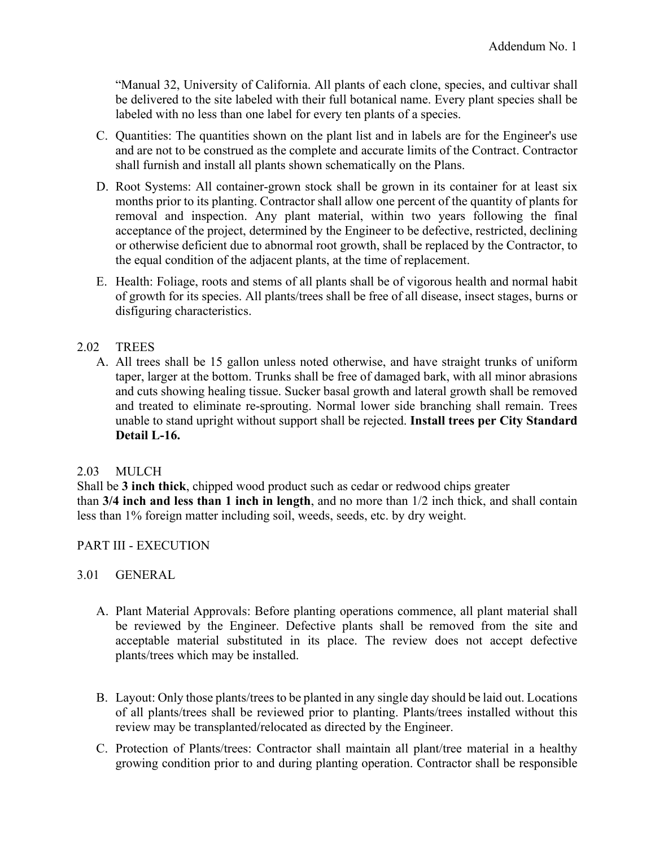"Manual 32, University of California. All plants of each clone, species, and cultivar shall be delivered to the site labeled with their full botanical name. Every plant species shall be labeled with no less than one label for every ten plants of a species.

- C. Quantities: The quantities shown on the plant list and in labels are for the Engineer's use and are not to be construed as the complete and accurate limits of the Contract. Contractor shall furnish and install all plants shown schematically on the Plans.
- D. Root Systems: All container-grown stock shall be grown in its container for at least six months prior to its planting. Contractor shall allow one percent of the quantity of plants for removal and inspection. Any plant material, within two years following the final acceptance of the project, determined by the Engineer to be defective, restricted, declining or otherwise deficient due to abnormal root growth, shall be replaced by the Contractor, to the equal condition of the adjacent plants, at the time of replacement.
- E. Health: Foliage, roots and stems of all plants shall be of vigorous health and normal habit of growth for its species. All plants/trees shall be free of all disease, insect stages, burns or disfiguring characteristics.

# 2.02 TREES

A. All trees shall be 15 gallon unless noted otherwise, and have straight trunks of uniform taper, larger at the bottom. Trunks shall be free of damaged bark, with all minor abrasions and cuts showing healing tissue. Sucker basal growth and lateral growth shall be removed and treated to eliminate re-sprouting. Normal lower side branching shall remain. Trees unable to stand upright without support shall be rejected. **Install trees per City Standard Detail L-16.**

# 2.03 MULCH

Shall be **3 inch thick**, chipped wood product such as cedar or redwood chips greater than **3/4 inch and less than 1 inch in length**, and no more than 1/2 inch thick, and shall contain less than 1% foreign matter including soil, weeds, seeds, etc. by dry weight.

# PART III - EXECUTION

# 3.01 GENERAL

- A. Plant Material Approvals: Before planting operations commence, all plant material shall be reviewed by the Engineer. Defective plants shall be removed from the site and acceptable material substituted in its place. The review does not accept defective plants/trees which may be installed.
- B. Layout: Only those plants/trees to be planted in any single day should be laid out. Locations of all plants/trees shall be reviewed prior to planting. Plants/trees installed without this review may be transplanted/relocated as directed by the Engineer.
- C. Protection of Plants/trees: Contractor shall maintain all plant/tree material in a healthy growing condition prior to and during planting operation. Contractor shall be responsible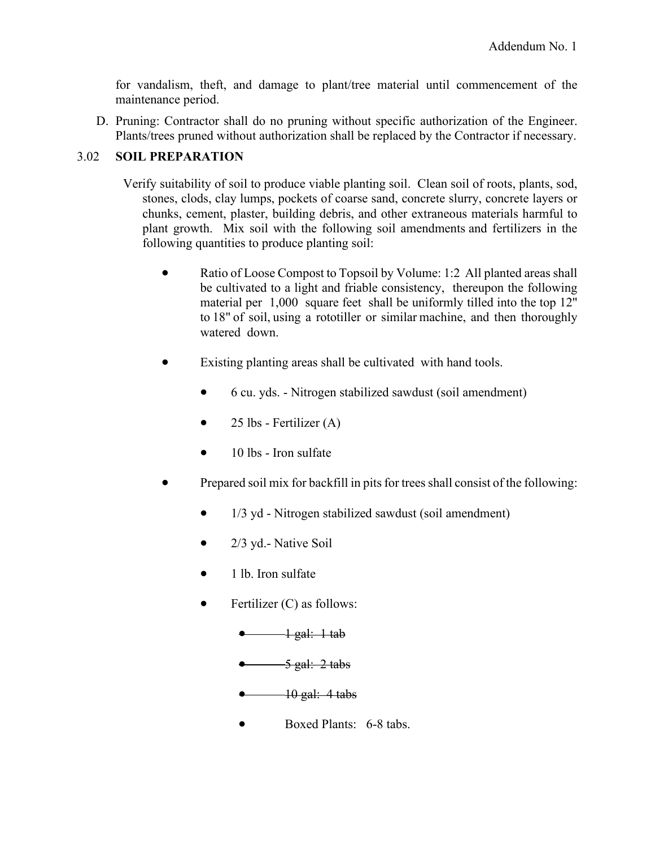for vandalism, theft, and damage to plant/tree material until commencement of the maintenance period.

D. Pruning: Contractor shall do no pruning without specific authorization of the Engineer. Plants/trees pruned without authorization shall be replaced by the Contractor if necessary.

# 3.02 **SOIL PREPARATION**

- Verify suitability of soil to produce viable planting soil. Clean soil of roots, plants, sod, stones, clods, clay lumps, pockets of coarse sand, concrete slurry, concrete layers or chunks, cement, plaster, building debris, and other extraneous materials harmful to plant growth. Mix soil with the following soil amendments and fertilizers in the following quantities to produce planting soil:
	- Ratio of Loose Compost to Topsoil by Volume: 1:2 All planted areas shall be cultivated to a light and friable consistency, thereupon the following material per 1,000 square feet shall be uniformly tilled into the top 12" to 18" of soil, using a rototiller or similar machine, and then thoroughly watered down.
	- Existing planting areas shall be cultivated with hand tools.
		- 6 cu. yds. Nitrogen stabilized sawdust (soil amendment)
		- $25$  lbs Fertilizer  $(A)$
		- $\bullet$  10 lbs Iron sulfate
	- Prepared soil mix for backfill in pits for trees shall consist of the following:
		- 1/3 yd Nitrogen stabilized sawdust (soil amendment)
		- 2/3 yd.- Native Soil
		- 1 lb. Iron sulfate
		- Fertilizer  $(C)$  as follows:
			- $\bullet$   $\longrightarrow$  1 gal: 1 tab
			- $\bullet$  5 gal: 2 tabs
			- $\frac{10 \text{ gal}:}4 \text{ tabs}}$
			- Boxed Plants: 6-8 tabs.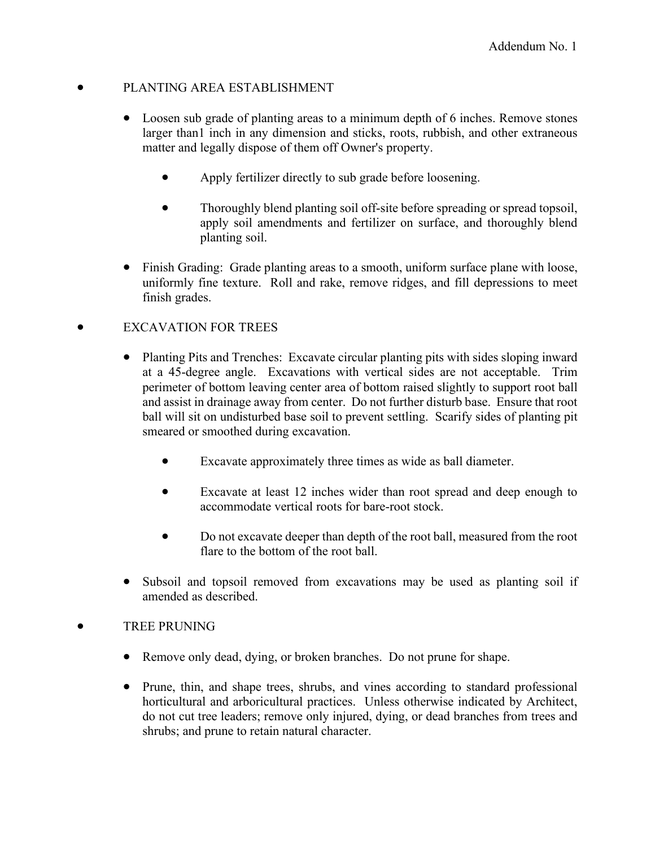# • PLANTING AREA ESTABLISHMENT

- Loosen sub grade of planting areas to a minimum depth of 6 inches. Remove stones larger than1 inch in any dimension and sticks, roots, rubbish, and other extraneous matter and legally dispose of them off Owner's property.
	- Apply fertilizer directly to sub grade before loosening.
	- Thoroughly blend planting soil off-site before spreading or spread topsoil, apply soil amendments and fertilizer on surface, and thoroughly blend planting soil.
- Finish Grading: Grade planting areas to a smooth, uniform surface plane with loose, uniformly fine texture. Roll and rake, remove ridges, and fill depressions to meet finish grades.

# • EXCAVATION FOR TREES

- Planting Pits and Trenches: Excavate circular planting pits with sides sloping inward at a 45-degree angle. Excavations with vertical sides are not acceptable. Trim perimeter of bottom leaving center area of bottom raised slightly to support root ball and assist in drainage away from center. Do not further disturb base. Ensure that root ball will sit on undisturbed base soil to prevent settling. Scarify sides of planting pit smeared or smoothed during excavation.
	- Excavate approximately three times as wide as ball diameter.
	- Excavate at least 12 inches wider than root spread and deep enough to accommodate vertical roots for bare-root stock.
	- Do not excavate deeper than depth of the root ball, measured from the root flare to the bottom of the root ball.
- Subsoil and topsoil removed from excavations may be used as planting soil if amended as described.

# • TREE PRUNING

- Remove only dead, dying, or broken branches. Do not prune for shape.
- Prune, thin, and shape trees, shrubs, and vines according to standard professional horticultural and arboricultural practices. Unless otherwise indicated by Architect, do not cut tree leaders; remove only injured, dying, or dead branches from trees and shrubs; and prune to retain natural character.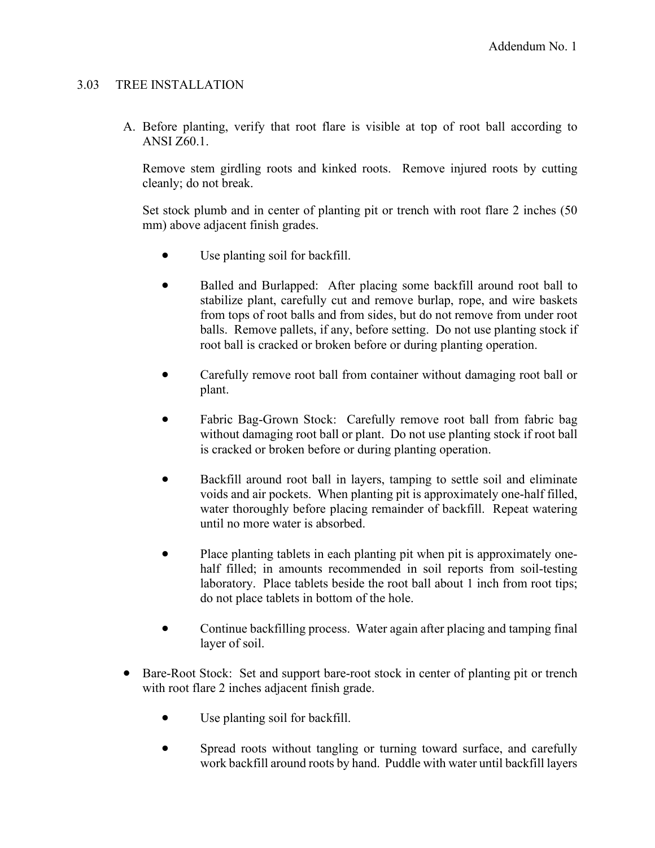### 3.03 TREE INSTALLATION

A. Before planting, verify that root flare is visible at top of root ball according to ANSI Z60.1.

Remove stem girdling roots and kinked roots. Remove injured roots by cutting cleanly; do not break.

Set stock plumb and in center of planting pit or trench with root flare 2 inches (50 mm) above adjacent finish grades.

- Use planting soil for backfill.
- Balled and Burlapped: After placing some backfill around root ball to stabilize plant, carefully cut and remove burlap, rope, and wire baskets from tops of root balls and from sides, but do not remove from under root balls. Remove pallets, if any, before setting. Do not use planting stock if root ball is cracked or broken before or during planting operation.
- Carefully remove root ball from container without damaging root ball or plant.
- Fabric Bag-Grown Stock: Carefully remove root ball from fabric bag without damaging root ball or plant. Do not use planting stock if root ball is cracked or broken before or during planting operation.
- Backfill around root ball in layers, tamping to settle soil and eliminate voids and air pockets. When planting pit is approximately one-half filled, water thoroughly before placing remainder of backfill. Repeat watering until no more water is absorbed.
- Place planting tablets in each planting pit when pit is approximately onehalf filled; in amounts recommended in soil reports from soil-testing laboratory. Place tablets beside the root ball about 1 inch from root tips; do not place tablets in bottom of the hole.
- Continue backfilling process. Water again after placing and tamping final layer of soil.
- Bare-Root Stock: Set and support bare-root stock in center of planting pit or trench with root flare 2 inches adjacent finish grade.
	- Use planting soil for backfill.
	- Spread roots without tangling or turning toward surface, and carefully work backfill around roots by hand. Puddle with water until backfill layers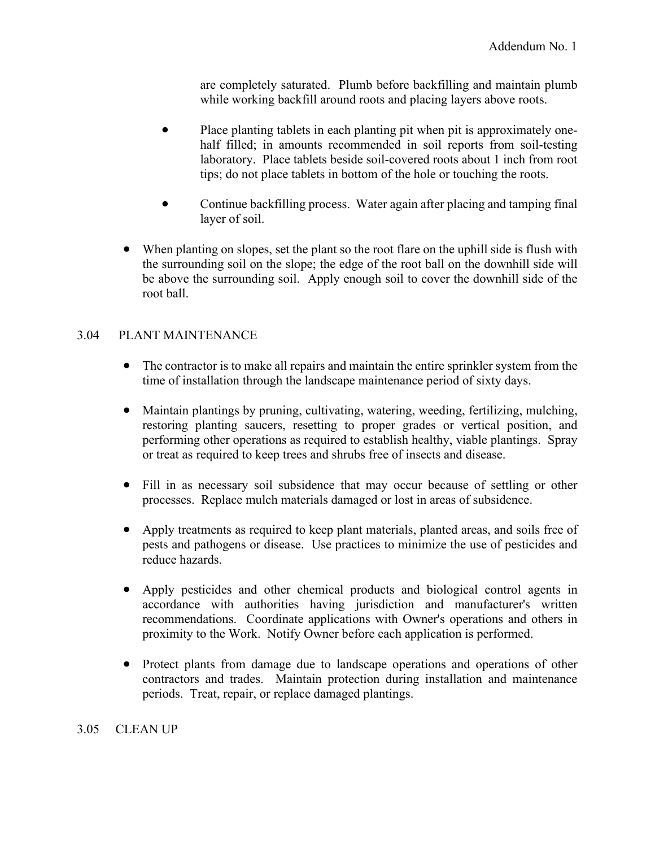are completely saturated. Plumb before backfilling and maintain plumb while working backfill around roots and placing layers above roots.

- Place planting tablets in each planting pit when pit is approximately onehalf filled; in amounts recommended in soil reports from soil-testing laboratory. Place tablets beside soil-covered roots about 1 inch from root tips; do not place tablets in bottom of the hole or touching the roots.
- Continue backfilling process. Water again after placing and tamping final layer of soil.
- When planting on slopes, set the plant so the root flare on the uphill side is flush with the surrounding soil on the slope; the edge of the root ball on the downhill side will be above the surrounding soil. Apply enough soil to cover the downhill side of the root ball.

# 3.04 PLANT MAINTENANCE

- The contractor is to make all repairs and maintain the entire sprinkler system from the time of installation through the landscape maintenance period of sixty days.
- Maintain plantings by pruning, cultivating, watering, weeding, fertilizing, mulching, restoring planting saucers, resetting to proper grades or vertical position, and performing other operations as required to establish healthy, viable plantings. Spray or treat as required to keep trees and shrubs free of insects and disease.
- Fill in as necessary soil subsidence that may occur because of settling or other processes. Replace mulch materials damaged or lost in areas of subsidence.
- Apply treatments as required to keep plant materials, planted areas, and soils free of pests and pathogens or disease. Use practices to minimize the use of pesticides and reduce hazards.
- Apply pesticides and other chemical products and biological control agents in accordance with authorities having jurisdiction and manufacturer's written recommendations. Coordinate applications with Owner's operations and others in proximity to the Work. Notify Owner before each application is performed.
- Protect plants from damage due to landscape operations and operations of other contractors and trades. Maintain protection during installation and maintenance periods. Treat, repair, or replace damaged plantings.

# 3.05 CLEAN UP